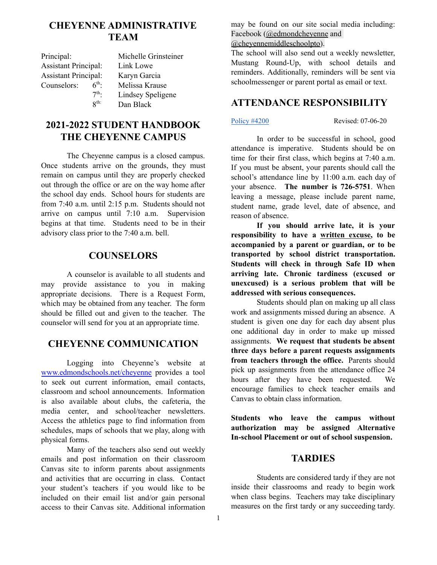# **CHEYENNE ADMINISTRATIVE TEAM**

| Principal:                  |                 | Michelle Grinsteiner |
|-----------------------------|-----------------|----------------------|
| <b>Assistant Principal:</b> |                 | Link Lowe            |
| <b>Assistant Principal:</b> |                 | Karyn Garcia         |
| Counselors:                 | $6^{th}$        | Melissa Krause       |
|                             | 7 <sup>th</sup> | Lindsey Speligene    |
|                             | 8 <sup>th</sup> | Dan Black            |

# **2021-2022 STUDENT HANDBOOK THE CHEYENNE CAMPUS**

The Cheyenne campus is a closed campus. Once students arrive on the grounds, they must remain on campus until they are properly checked out through the office or are on the way home after the school day ends. School hours for students are from 7:40 a.m. until 2:15 p.m. Students should not arrive on campus until 7:10 a.m. Supervision begins at that time. Students need to be in their advisory class prior to the 7:40 a.m. bell.

# **COUNSELORS**

A counselor is available to all students and may provide assistance to you in making appropriate decisions. There is a Request Form, which may be obtained from any teacher. The form should be filled out and given to the teacher. The counselor will send for you at an appropriate time.

# **CHEYENNE COMMUNICATION**

Logging into Cheyenne's website at [www.edmondschools.net/cheyenne](http://www.edmondschools.net/cheyenne) provides a tool to seek out current information, email contacts, classroom and school announcements. Information is also available about clubs, the cafeteria, the media center, and school/teacher newsletters. Access the athletics page to find information from schedules, maps of schools that we play, along with physical forms.

Many of the teachers also send out weekly emails and post information on their classroom Canvas site to inform parents about assignments and activities that are occurring in class. Contact your student's teachers if you would like to be included on their email list and/or gain personal access to their Canvas site. Additional information

may be found on our site social media including: Facebook ([@edmondcheyenne](https://www.facebook.com/EDMONDCHEYENNE/) and

[@cheyennemiddleschoolpto\)](https://www.facebook.com/CheyenneMiddleSchoolPto/).

The school will also send out a weekly newsletter, Mustang Round-Up, with school details and reminders. Additionally, reminders will be sent via schoolmessenger or parent portal as email or text.

# **ATTENDANCE RESPONSIBILITY**

[Policy](https://edmondschools.net/wp-content/uploads/2020/07/Regulation-4205R-Attendance-Policy-Grades-PK-8-Revised-07-06-20.pdf) #4200 **Revised: 07-06-20** 

In order to be successful in school, good attendance is imperative. Students should be on time for their first class, which begins at 7:40 a.m. If you must be absent, your parents should call the school's attendance line by 11:00 a.m. each day of your absence. **The number is 726-5751**. When leaving a message, please include parent name, student name, grade level, date of absence, and reason of absence.

**If you should arrive late, it is your responsibility to have a written excuse, to be accompanied by a parent or guardian, or to be transported by school district transportation. Students will check in through Safe ID when arriving late. Chronic tardiness (excused or unexcused) is a serious problem that will be addressed with serious consequences.**

Students should plan on making up all class work and assignments missed during an absence. A student is given one day for each day absent plus one additional day in order to make up missed assignments. **We request that students be absent three days before a parent requests assignments from teachers through the office.** Parents should pick up assignments from the attendance office 24 hours after they have been requested. We encourage families to check teacher emails and Canvas to obtain class information.

**Students who leave the campus without authorization may be assigned Alternative In-school Placement or out of school suspension.**

### **TARDIES**

Students are considered tardy if they are not inside their classrooms and ready to begin work when class begins. Teachers may take disciplinary measures on the first tardy or any succeeding tardy.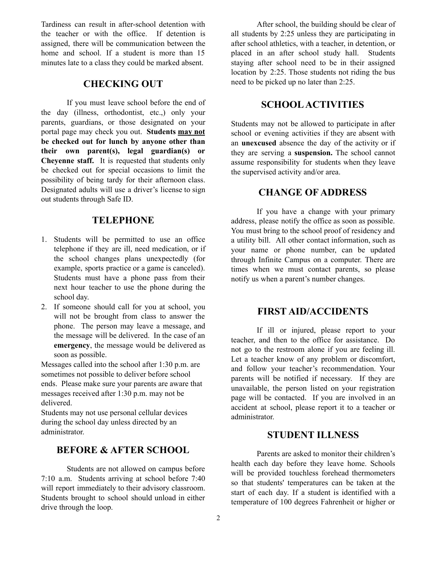Tardiness can result in after-school detention with the teacher or with the office. If detention is assigned, there will be communication between the home and school. If a student is more than 15 minutes late to a class they could be marked absent.

### **CHECKING OUT**

If you must leave school before the end of the day (illness, orthodontist, etc.,) only your parents, guardians, or those designated on your portal page may check you out. **Students may not be checked out for lunch by anyone other than their own parent(s), legal guardian(s) or Cheyenne staff.** It is requested that students only be checked out for special occasions to limit the possibility of being tardy for their afternoon class. Designated adults will use a driver's license to sign out students through Safe ID.

# **TELEPHONE**

- 1. Students will be permitted to use an office telephone if they are ill, need medication, or if the school changes plans unexpectedly (for example, sports practice or a game is canceled). Students must have a phone pass from their next hour teacher to use the phone during the school day.
- 2. If someone should call for you at school, you will not be brought from class to answer the phone. The person may leave a message, and the message will be delivered. In the case of an **emergency**, the message would be delivered as soon as possible.

Messages called into the school after 1:30 p.m. are sometimes not possible to deliver before school ends. Please make sure your parents are aware that messages received after 1:30 p.m. may not be delivered.

Students may not use personal cellular devices during the school day unless directed by an administrator.

# **BEFORE & AFTER SCHOOL**

Students are not allowed on campus before 7:10 a.m. Students arriving at school before 7:40 will report immediately to their advisory classroom. Students brought to school should unload in either drive through the loop.

After school, the building should be clear of all students by 2:25 unless they are participating in after school athletics, with a teacher, in detention, or placed in an after school study hall. Students staying after school need to be in their assigned location by 2:25. Those students not riding the bus need to be picked up no later than 2:25.

# **SCHOOLACTIVITIES**

Students may not be allowed to participate in after school or evening activities if they are absent with an **unexcused** absence the day of the activity or if they are serving a **suspension.** The school cannot assume responsibility for students when they leave the supervised activity and/or area.

### **CHANGE OF ADDRESS**

If you have a change with your primary address, please notify the office as soon as possible. You must bring to the school proof of residency and a utility bill. All other contact information, such as your name or phone number, can be updated through Infinite Campus on a computer. There are times when we must contact parents, so please notify us when a parent's number changes.

### **FIRST AID/ACCIDENTS**

If ill or injured, please report to your teacher, and then to the office for assistance. Do not go to the restroom alone if you are feeling ill. Let a teacher know of any problem or discomfort, and follow your teacher's recommendation. Your parents will be notified if necessary. If they are unavailable, the person listed on your registration page will be contacted. If you are involved in an accident at school, please report it to a teacher or administrator.

# **STUDENT ILLNESS**

Parents are asked to monitor their children's health each day before they leave home. Schools will be provided touchless forehead thermometers so that students' temperatures can be taken at the start of each day. If a student is identified with a temperature of 100 degrees Fahrenheit or higher or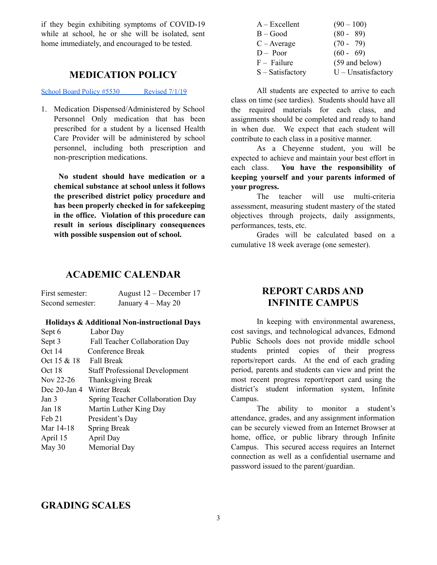if they begin exhibiting symptoms of COVID-19 while at school, he or she will be isolated, sent home immediately, and encouraged to be tested.

## **MEDICATION POLICY**

School Board Policy #5530 [Revised](https://edmondschools.net/wp-content/uploads/2019/08/Policy-5530-Medication-Dispensing.revised-07-01-19.pdf) 7/1/19

1. Medication Dispensed/Administered by School Personnel Only medication that has been prescribed for a student by a licensed Health Care Provider will be administered by school personnel, including both prescription and non-prescription medications.

**No student should have medication or a chemical substance at school unless it follows the prescribed district policy procedure and has been properly checked in for safekeeping in the office. Violation of this procedure can result in serious disciplinary consequences with possible suspension out of school.**

# **ACADEMIC CALENDAR**

| First semester:  | August $12$ – December 17 |
|------------------|---------------------------|
| Second semester: | January $4 - May 20$      |

#### **Holidays & Additional Non-instructional Days**

| Sept 6          | Labor Day                             |
|-----------------|---------------------------------------|
| Sept 3          | Fall Teacher Collaboration Day        |
| Oct 14          | Conference Break                      |
| Oct 15 & 18     | <b>Fall Break</b>                     |
| Oct 18          | <b>Staff Professional Development</b> |
| Nov 22-26       | Thanksgiving Break                    |
| Dec $20$ -Jan 4 | Winter Break                          |
| Jan 3           | Spring Teacher Collaboration Day      |
| Jan 18          | Martin Luther King Day                |
| Feb 21          | President's Day                       |
| Mar 14-18       | <b>Spring Break</b>                   |
| April 15        | April Day                             |
| May 30          | Memorial Day                          |

| $A - Excellent$    | $(90 - 100)$         |
|--------------------|----------------------|
| $B - Good$         | $(80 - 89)$          |
| $C - Average$      | $(70 - 79)$          |
| $D - Poor$         | $(60 - 69)$          |
| $F - Failure$      | (59 and below)       |
| $S - Satisfactory$ | $U$ – Unsatisfactory |

All students are expected to arrive to each class on time (see tardies). Students should have all the required materials for each class, and assignments should be completed and ready to hand in when due. We expect that each student will contribute to each class in a positive manner.

As a Cheyenne student, you will be expected to achieve and maintain your best effort in each class. **You have the responsibility of keeping yourself and your parents informed of your progress.**

The teacher will use multi-criteria assessment, measuring student mastery of the stated objectives through projects, daily assignments, performances, tests, etc.

Grades will be calculated based on a cumulative 18 week average (one semester).

# **REPORT CARDS AND INFINITE CAMPUS**

In keeping with environmental awareness, cost savings, and technological advances, Edmond Public Schools does not provide middle school students printed copies of their progress reports/report cards. At the end of each grading period, parents and students can view and print the most recent progress report/report card using the district's student information system, Infinite Campus.

The ability to monitor a student's attendance, grades, and any assignment information can be securely viewed from an Internet Browser at home, office, or public library through Infinite Campus. This secured access requires an Internet connection as well as a confidential username and password issued to the parent/guardian.

### **GRADING SCALES**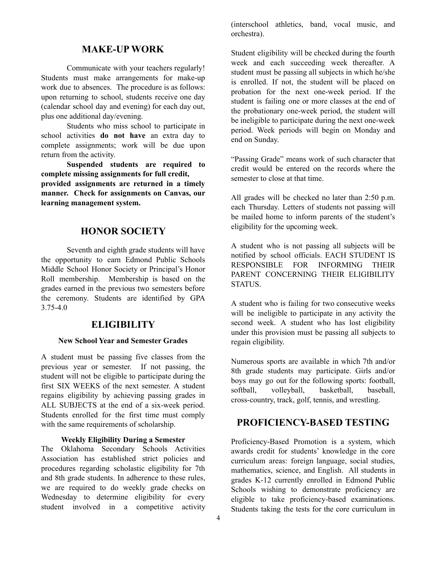# **MAKE-UP WORK**

Communicate with your teachers regularly! Students must make arrangements for make-up work due to absences. The procedure is as follows: upon returning to school, students receive one day (calendar school day and evening) for each day out, plus one additional day/evening.

Students who miss school to participate in school activities **do not have** an extra day to complete assignments; work will be due upon return from the activity.

**Suspended students are required to complete missing assignments for full credit, provided assignments are returned in a timely manner. Check for assignments on Canvas, our learning management system.**

# **HONOR SOCIETY**

Seventh and eighth grade students will have the opportunity to earn Edmond Public Schools Middle School Honor Society or Principal's Honor Roll membership. Membership is based on the grades earned in the previous two semesters before the ceremony. Students are identified by GPA 3.75-4.0

### **ELIGIBILITY**

#### **New School Year and Semester Grades**

A student must be passing five classes from the previous year or semester. If not passing, the student will not be eligible to participate during the first SIX WEEKS of the next semester. A student regains eligibility by achieving passing grades in ALL SUBJECTS at the end of a six-week period. Students enrolled for the first time must comply with the same requirements of scholarship.

#### **Weekly Eligibility During a Semester**

The Oklahoma Secondary Schools Activities Association has established strict policies and procedures regarding scholastic eligibility for 7th and 8th grade students. In adherence to these rules, we are required to do weekly grade checks on Wednesday to determine eligibility for every student involved in a competitive activity

(interschool athletics, band, vocal music, and orchestra).

Student eligibility will be checked during the fourth week and each succeeding week thereafter. A student must be passing all subjects in which he/she is enrolled. If not, the student will be placed on probation for the next one-week period. If the student is failing one or more classes at the end of the probationary one-week period, the student will be ineligible to participate during the next one-week period. Week periods will begin on Monday and end on Sunday.

"Passing Grade" means work of such character that credit would be entered on the records where the semester to close at that time.

All grades will be checked no later than 2:50 p.m. each Thursday. Letters of students not passing will be mailed home to inform parents of the student's eligibility for the upcoming week.

A student who is not passing all subjects will be notified by school officials. EACH STUDENT IS RESPONSIBLE FOR INFORMING THEIR PARENT CONCERNING THEIR ELIGIBILITY STATUS.

A student who is failing for two consecutive weeks will be ineligible to participate in any activity the second week. A student who has lost eligibility under this provision must be passing all subjects to regain eligibility.

Numerous sports are available in which 7th and/or 8th grade students may participate. Girls and/or boys may go out for the following sports: football, softball, volleyball, basketball, baseball, cross-country, track, golf, tennis, and wrestling.

### **PROFICIENCY-BASED TESTING**

Proficiency-Based Promotion is a system, which awards credit for students' knowledge in the core curriculum areas: foreign language, social studies, mathematics, science, and English. All students in grades K-12 currently enrolled in Edmond Public Schools wishing to demonstrate proficiency are eligible to take proficiency-based examinations. Students taking the tests for the core curriculum in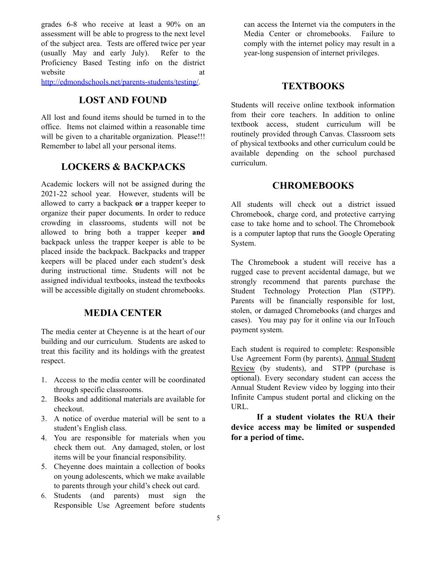grades 6-8 who receive at least a 90% on an assessment will be able to progress to the next level of the subject area. Tests are offered twice per year (usually May and early July). Refer to the Proficiency Based Testing info on the district website at a state at a state at a state at a state at a state at a state at a state at a state at a state at a state  $\alpha$ 

<http://edmondschools.net/parents-students/testing/>.

### **LOST AND FOUND**

All lost and found items should be turned in to the office. Items not claimed within a reasonable time will be given to a charitable organization. Please!!! Remember to label all your personal items.

### **LOCKERS & BACKPACKS**

Academic lockers will not be assigned during the 2021-22 school year. However, students will be allowed to carry a backpack **or** a trapper keeper to organize their paper documents. In order to reduce crowding in classrooms, students will not be allowed to bring both a trapper keeper **and** backpack unless the trapper keeper is able to be placed inside the backpack. Backpacks and trapper keepers will be placed under each student's desk during instructional time. Students will not be assigned individual textbooks, instead the textbooks will be accessible digitally on student chromebooks.

# **MEDIA CENTER**

The media center at Cheyenne is at the heart of our building and our curriculum. Students are asked to treat this facility and its holdings with the greatest respect.

- 1. Access to the media center will be coordinated through specific classrooms.
- 2. Books and additional materials are available for checkout.
- 3. A notice of overdue material will be sent to a student's English class.
- 4. You are responsible for materials when you check them out. Any damaged, stolen, or lost items will be your financial responsibility.
- 5. Cheyenne does maintain a collection of books on young adolescents, which we make available to parents through your child's check out card.
- 6. Students (and parents) must sign the Responsible Use Agreement before students

can access the Internet via the computers in the Media Center or chromebooks. Failure to comply with the internet policy may result in a year-long suspension of internet privileges.

### **TEXTBOOKS**

Students will receive online textbook information from their core teachers. In addition to online textbook access, student curriculum will be routinely provided through Canvas. Classroom sets of physical textbooks and other curriculum could be available depending on the school purchased curriculum.

# **CHROMEBOOKS**

All students will check out a district issued Chromebook, charge cord, and protective carrying case to take home and to school. The Chromebook is a computer laptop that runs the Google Operating System.

The Chromebook a student will receive has a rugged case to prevent accidental damage, but we strongly recommend that parents purchase the Student Technology Protection Plan (STPP). Parents will be financially responsible for lost, stolen, or damaged Chromebooks (and charges and cases). You may pay for it online via our InTouch payment system.

Each student is required to complete: Responsible Use Agreement Form (by parents), Annual Student Review (by students), and STPP (purchase is optional). Every secondary student can access the Annual Student Review video by logging into their Infinite Campus student portal and clicking on the URL.

**If a student violates the RUA their device access may be limited or suspended for a period of time.**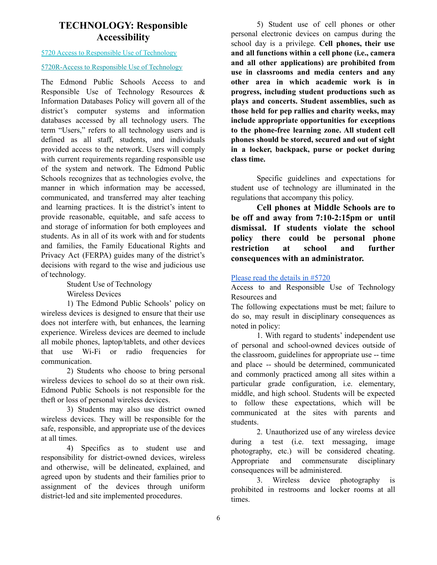# **TECHNOLOGY: Responsible Accessibility**

#### 5720 Access to [Responsible](http://edmondschools.net/wp-content/uploads/2018/09/5720-Access-to-Responsible-Use-of-Technology.-Revised-9-4-18.pdf) Use of Technology

#### [5720R-Access](http://edmondschools.net/wp-content/uploads/2018/06/5720R-Access-to-Responsible-Use-of-Technology.-Revised-June4.18.pdf) to Responsible Use of Technology

The Edmond Public Schools Access to and Responsible Use of Technology Resources & Information Databases Policy will govern all of the district's computer systems and information databases accessed by all technology users. The term "Users," refers to all technology users and is defined as all staff, students, and individuals provided access to the network. Users will comply with current requirements regarding responsible use of the system and network. The Edmond Public Schools recognizes that as technologies evolve, the manner in which information may be accessed, communicated, and transferred may alter teaching and learning practices. It is the district's intent to provide reasonable, equitable, and safe access to and storage of information for both employees and students. As in all of its work with and for students and families, the Family Educational Rights and Privacy Act (FERPA) guides many of the district's decisions with regard to the wise and judicious use of technology.

Student Use of Technology

Wireless Devices

1) The Edmond Public Schools' policy on wireless devices is designed to ensure that their use does not interfere with, but enhances, the learning experience. Wireless devices are deemed to include all mobile phones, laptop/tablets, and other devices that use Wi-Fi or radio frequencies for communication.

2) Students who choose to bring personal wireless devices to school do so at their own risk. Edmond Public Schools is not responsible for the theft or loss of personal wireless devices.

3) Students may also use district owned wireless devices. They will be responsible for the safe, responsible, and appropriate use of the devices at all times.

4) Specifics as to student use and responsibility for district-owned devices, wireless and otherwise, will be delineated, explained, and agreed upon by students and their families prior to assignment of the devices through uniform district-led and site implemented procedures.

5) Student use of cell phones or other personal electronic devices on campus during the school day is a privilege. **Cell phones, their use and all functions within a cell phone (i.e., camera and all other applications) are prohibited from use in classrooms and media centers and any other area in which academic work is in progress, including student productions such as plays and concerts. Student assemblies, such as those held for pep rallies and charity weeks, may include appropriate opportunities for exceptions to the phone-free learning zone. All student cell phones should be stored, secured and out of sight in a locker, backpack, purse or pocket during class time.**

Specific guidelines and expectations for student use of technology are illuminated in the regulations that accompany this policy.

**Cell phones at Middle Schools are to be off and away from 7:10-2:15pm or until dismissal. If students violate the school policy there could be personal phone restriction at school and further consequences with an administrator.**

#### Please read the [details](http://edmondschools.net/wp-content/uploads/2018/06/5720R-Access-to-Responsible-Use-of-Technology.-Revised-June4.18.pdf) in #5720

Access to and Responsible Use of Technology Resources and

The following expectations must be met; failure to do so, may result in disciplinary consequences as noted in policy:

1. With regard to students' independent use of personal and school-owned devices outside of the classroom, guidelines for appropriate use -- time and place -- should be determined, communicated and commonly practiced among all sites within a particular grade configuration, i.e. elementary, middle, and high school. Students will be expected to follow these expectations, which will be communicated at the sites with parents and students.

2. Unauthorized use of any wireless device during a test (i.e. text messaging, image photography, etc.) will be considered cheating. Appropriate and commensurate disciplinary consequences will be administered.

3. Wireless device photography is prohibited in restrooms and locker rooms at all times.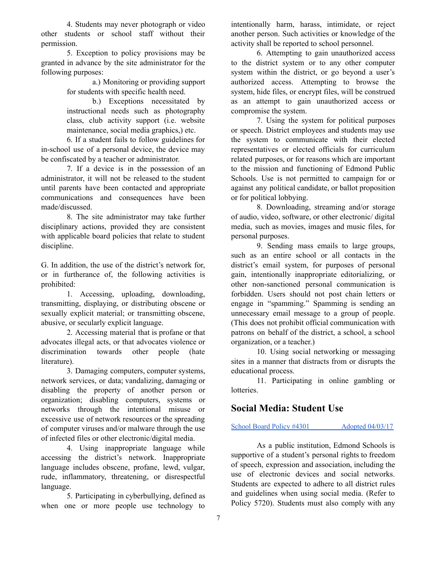4. Students may never photograph or video other students or school staff without their permission.

5. Exception to policy provisions may be granted in advance by the site administrator for the following purposes:

> a.) Monitoring or providing support for students with specific health need.

> b.) Exceptions necessitated by instructional needs such as photography class, club activity support (i.e. website maintenance, social media graphics,) etc.

6. If a student fails to follow guidelines for in-school use of a personal device, the device may be confiscated by a teacher or administrator.

7. If a device is in the possession of an administrator, it will not be released to the student until parents have been contacted and appropriate communications and consequences have been made/discussed.

8. The site administrator may take further disciplinary actions, provided they are consistent with applicable board policies that relate to student discipline.

G. In addition, the use of the district's network for, or in furtherance of, the following activities is prohibited:

1. Accessing, uploading, downloading, transmitting, displaying, or distributing obscene or sexually explicit material; or transmitting obscene, abusive, or secularly explicit language.

2. Accessing material that is profane or that advocates illegal acts, or that advocates violence or discrimination towards other people (hate literature).

3. Damaging computers, computer systems, network services, or data; vandalizing, damaging or disabling the property of another person or organization; disabling computers, systems or networks through the intentional misuse or excessive use of network resources or the spreading of computer viruses and/or malware through the use of infected files or other electronic/digital media.

4. Using inappropriate language while accessing the district's network. Inappropriate language includes obscene, profane, lewd, vulgar, rude, inflammatory, threatening, or disrespectful language.

5. Participating in cyberbullying, defined as when one or more people use technology to

intentionally harm, harass, intimidate, or reject another person. Such activities or knowledge of the activity shall be reported to school personnel.

6. Attempting to gain unauthorized access to the district system or to any other computer system within the district, or go beyond a user's authorized access. Attempting to browse the system, hide files, or encrypt files, will be construed as an attempt to gain unauthorized access or compromise the system.

7. Using the system for political purposes or speech. District employees and students may use the system to communicate with their elected representatives or elected officials for curriculum related purposes, or for reasons which are important to the mission and functioning of Edmond Public Schools. Use is not permitted to campaign for or against any political candidate, or ballot proposition or for political lobbying.

8. Downloading, streaming and/or storage of audio, video, software, or other electronic/ digital media, such as movies, images and music files, for personal purposes.

9. Sending mass emails to large groups, such as an entire school or all contacts in the district's email system, for purposes of personal gain, intentionally inappropriate editorializing, or other non-sanctioned personal communication is forbidden. Users should not post chain letters or engage in "spamming." Spamming is sending an unnecessary email message to a group of people. (This does not prohibit official communication with patrons on behalf of the district, a school, a school organization, or a teacher.)

10. Using social networking or messaging sites in a manner that distracts from or disrupts the educational process.

11. Participating in online gambling or lotteries.

# **Social Media: Student Use**

#### School Board Policy #4301 Adopted [04/03/17](http://edmondschools.net/wp-content/uploads/2015/04/4301-StudentSocialMediaPolicy-4301-Adopted-04-03-17.pdf)

As a public institution, Edmond Schools is supportive of a student's personal rights to freedom of speech, expression and association, including the use of electronic devices and social networks. Students are expected to adhere to all district rules and guidelines when using social media. (Refer to Policy 5720). Students must also comply with any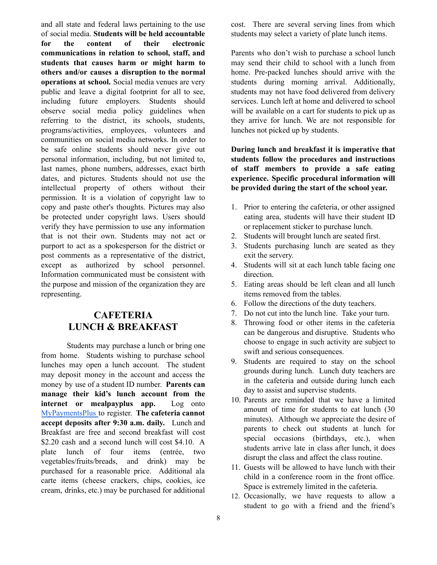and all state and federal laws pertaining to the use of social media. **Students will be held accountable for the content of their electronic communications in relation to school, staff, and students that causes harm or might harm to others and/or causes a disruption to the normal operations at school.** Social media venues are very public and leave a digital footprint for all to see, including future employers. Students should observe social media policy guidelines when referring to the district, its schools, students, programs/activities, employees, volunteers and communities on social media networks. In order to be safe online students should never give out personal information, including, but not limited to, last names, phone numbers, addresses, exact birth dates, and pictures. Students should not use the intellectual property of others without their permission. It is a violation of copyright law to copy and paste other's thoughts. Pictures may also be protected under copyright laws. Users should verify they have permission to use any information that is not their own. Students may not act or purport to act as a spokesperson for the district or post comments as a representative of the district, except as authorized by school personnel. Information communicated must be consistent with the purpose and mission of the organization they are representing.

# **CAFETERIA LUNCH & BREAKFAST**

Students may purchase a lunch or bring one from home. Students wishing to purchase school lunches may open a lunch account. The student may deposit money in the account and access the money by use of a student ID number. **Parents can manage their kid's lunch account from the internet or mealpayplus app.** Log onto [MyPaymentsPlus](https://www.mypaymentsplus.com/welcome) to register. **The cafeteria cannot accept deposits after 9:30 a.m. daily.** Lunch and Breakfast are free and second breakfast will cost \$2.20 cash and a second lunch will cost \$4.10. A plate lunch of four items (entrée, two vegetables/fruits/breads, and drink) may be purchased for a reasonable price. Additional ala carte items (cheese crackers, chips, cookies, ice cream, drinks, etc.) may be purchased for additional cost. There are several serving lines from which students may select a variety of plate lunch items.

Parents who don't wish to purchase a school lunch may send their child to school with a lunch from home. Pre-packed lunches should arrive with the students during morning arrival. Additionally, students may not have food delivered from delivery services. Lunch left at home and delivered to school will be available on a cart for students to pick up as they arrive for lunch. We are not responsible for lunches not picked up by students.

**During lunch and breakfast it is imperative that students follow the procedures and instructions of staff members to provide a safe eating experience. Specific procedural information will be provided during the start of the school year.**

- 1. Prior to entering the cafeteria, or other assigned eating area, students will have their student ID or replacement sticker to purchase lunch.
- 2. Students will brought lunch are seated first.
- 3. Students purchasing lunch are seated as they exit the servery.
- 4. Students will sit at each lunch table facing one direction.
- 5. Eating areas should be left clean and all lunch items removed from the tables.
- 6. Follow the directions of the duty teachers.
- 7. Do not cut into the lunch line. Take your turn.
- 8. Throwing food or other items in the cafeteria can be dangerous and disruptive. Students who choose to engage in such activity are subject to swift and serious consequences.
- 9. Students are required to stay on the school grounds during lunch. Lunch duty teachers are in the cafeteria and outside during lunch each day to assist and supervise students.
- 10. Parents are reminded that we have a limited amount of time for students to eat lunch (30 minutes). Although we appreciate the desire of parents to check out students at lunch for special occasions (birthdays, etc.), when students arrive late in class after lunch, it does disrupt the class and affect the class routine.
- 11. Guests will be allowed to have lunch with their child in a conference room in the front office. Space is extremely limited in the cafeteria.
- 12. Occasionally, we have requests to allow a student to go with a friend and the friend's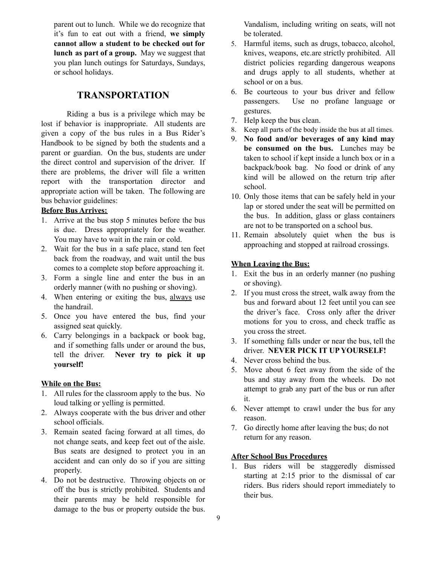parent out to lunch. While we do recognize that it's fun to eat out with a friend, **we simply cannot allow a student to be checked out for lunch as part of a group.** May we suggest that you plan lunch outings for Saturdays, Sundays, or school holidays.

# **TRANSPORTATION**

Riding a bus is a privilege which may be lost if behavior is inappropriate. All students are given a copy of the bus rules in a Bus Rider's Handbook to be signed by both the students and a parent or guardian. On the bus, students are under the direct control and supervision of the driver. If there are problems, the driver will file a written report with the transportation director and appropriate action will be taken. The following are bus behavior guidelines:

### **Before Bus Arrives:**

- 1. Arrive at the bus stop 5 minutes before the bus is due. Dress appropriately for the weather. You may have to wait in the rain or cold.
- 2. Wait for the bus in a safe place, stand ten feet back from the roadway, and wait until the bus comes to a complete stop before approaching it.
- 3. Form a single line and enter the bus in an orderly manner (with no pushing or shoving).
- 4. When entering or exiting the bus, always use the handrail.
- 5. Once you have entered the bus, find your assigned seat quickly.
- 6. Carry belongings in a backpack or book bag, and if something falls under or around the bus, tell the driver. **Never try to pick it up yourself!**

#### **While on the Bus:**

- 1. All rules for the classroom apply to the bus. No loud talking or yelling is permitted.
- 2. Always cooperate with the bus driver and other school officials.
- 3. Remain seated facing forward at all times, do not change seats, and keep feet out of the aisle. Bus seats are designed to protect you in an accident and can only do so if you are sitting properly.
- 4. Do not be destructive. Throwing objects on or off the bus is strictly prohibited. Students and their parents may be held responsible for damage to the bus or property outside the bus.

Vandalism, including writing on seats, will not be tolerated.

- 5. Harmful items, such as drugs, tobacco, alcohol, knives, weapons, etc.are strictly prohibited. All district policies regarding dangerous weapons and drugs apply to all students, whether at school or on a bus.
- 6. Be courteous to your bus driver and fellow passengers. Use no profane language or gestures.
- 7. Help keep the bus clean.
- 8. Keep all parts of the body inside the bus at all times.
- 9. **No food and/or beverages of any kind may be consumed on the bus.** Lunches may be taken to school if kept inside a lunch box or in a backpack/book bag. No food or drink of any kind will be allowed on the return trip after school.
- 10. Only those items that can be safely held in your lap or stored under the seat will be permitted on the bus. In addition, glass or glass containers are not to be transported on a school bus.
- 11. Remain absolutely quiet when the bus is approaching and stopped at railroad crossings.

#### **When Leaving the Bus:**

- 1. Exit the bus in an orderly manner (no pushing or shoving).
- 2. If you must cross the street, walk away from the bus and forward about 12 feet until you can see the driver's face. Cross only after the driver motions for you to cross, and check traffic as you cross the street.
- 3. If something falls under or near the bus, tell the driver. **NEVER PICK IT UP YOURSELF!**
- 4. Never cross behind the bus.
- 5. Move about 6 feet away from the side of the bus and stay away from the wheels. Do not attempt to grab any part of the bus or run after it.
- 6. Never attempt to crawl under the bus for any reason.
- 7. Go directly home after leaving the bus; do not return for any reason.

#### **After School Bus Procedures**

1. Bus riders will be staggeredly dismissed starting at 2:15 prior to the dismissal of car riders. Bus riders should report immediately to their bus.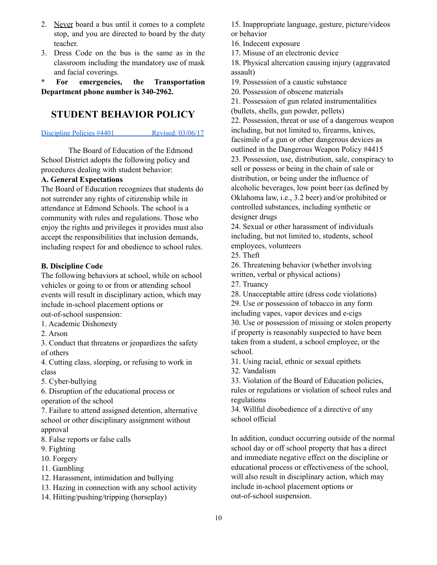- 2. Never board a bus until it comes to a complete stop, and you are directed to board by the duty teacher.
- 3. Dress Code on the bus is the same as in the classroom including the mandatory use of mask and facial coverings.

**\* For emergencies, the Transportation Department phone number is 340-2962.**

# **STUDENT BEHAVIOR POLICY**

#### [Discipline](http://edmondschools.net/wp-content/uploads/2015/04/Policy-4401-Discipline-Rev-03-06-17.pdf) Policies #4401 Revised: 03/06/17

The Board of Education of the Edmond School District adopts the following policy and procedures dealing with student behavior:

### **A. General Expectations**

The Board of Education recognizes that students do not surrender any rights of citizenship while in attendance at Edmond Schools. The school is a community with rules and regulations. Those who enjoy the rights and privileges it provides must also accept the responsibilities that inclusion demands, including respect for and obedience to school rules.

#### **B. Discipline Code**

The following behaviors at school, while on school vehicles or going to or from or attending school events will result in disciplinary action, which may include in-school placement options or out-of-school suspension:

- 1. Academic Dishonesty
- 2. Arson

3. Conduct that threatens or jeopardizes the safety of others

4. Cutting class, sleeping, or refusing to work in class

5. Cyber-bullying

6. Disruption of the educational process or operation of the school

7. Failure to attend assigned detention, alternative school or other disciplinary assignment without approval

8. False reports or false calls

9. Fighting

- 10. Forgery
- 11. Gambling

12. Harassment, intimidation and bullying

13. Hazing in connection with any school activity

14. Hitting/pushing/tripping (horseplay)

15. Inappropriate language, gesture, picture/videos or behavior

16. Indecent exposure

17. Misuse of an electronic device

18. Physical altercation causing injury (aggravated assault)

19. Possession of a caustic substance

20. Possession of obscene materials

21. Possession of gun related instrumentalities (bullets, shells, gun powder, pellets)

22. Possession, threat or use of a dangerous weapon including, but not limited to, firearms, knives, facsimile of a gun or other dangerous devices as outlined in the Dangerous Weapon Policy #4415 23. Possession, use, distribution, sale, conspiracy to sell or possess or being in the chain of sale or distribution, or being under the influence of alcoholic beverages, low point beer (as defined by Oklahoma law, i.e., 3.2 beer) and/or prohibited or controlled substances, including synthetic or designer drugs

24. Sexual or other harassment of individuals including, but not limited to, students, school employees, volunteers

25. Theft

26. Threatening behavior (whether involving written, verbal or physical actions)

27. Truancy

28. Unacceptable attire (dress code violations)

29. Use or possession of tobacco in any form

including vapes, vapor devices and e-cigs

30. Use or possession of missing or stolen property if property is reasonably suspected to have been taken from a student, a school employee, or the school.

31. Using racial, ethnic or sexual epithets

32. Vandalism

33. Violation of the Board of Education policies, rules or regulations or violation of school rules and regulations

34. Willful disobedience of a directive of any school official

In addition, conduct occurring outside of the normal school day or off school property that has a direct and immediate negative effect on the discipline or educational process or effectiveness of the school, will also result in disciplinary action, which may include in-school placement options or out-of-school suspension.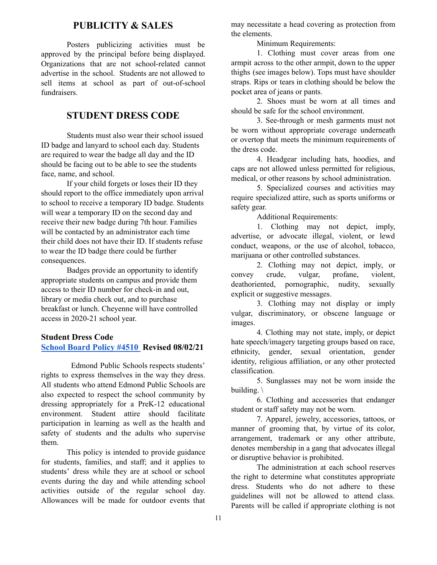# **PUBLICITY & SALES**

Posters publicizing activities must be approved by the principal before being displayed. Organizations that are not school-related cannot advertise in the school. Students are not allowed to sell items at school as part of out-of-school fundraisers.

# **STUDENT DRESS CODE**

Students must also wear their school issued ID badge and lanyard to school each day. Students are required to wear the badge all day and the ID should be facing out to be able to see the students face, name, and school.

If your child forgets or loses their ID they should report to the office immediately upon arrival to school to receive a temporary ID badge. Students will wear a temporary ID on the second day and receive their new badge during 7th hour. Families will be contacted by an administrator each time their child does not have their ID. If students refuse to wear the ID badge there could be further consequences.

Badges provide an opportunity to identify appropriate students on campus and provide them access to their ID number for check-in and out, library or media check out, and to purchase breakfast or lunch. Cheyenne will have controlled access in 2020-21 school year.

#### **Student Dress Code**

#### **[School Board Policy #4510](https://edmondschools.net/wp-content/uploads/2021/08/4510-Dress-Code-Revised-08-02-2021.pdf) Revised 08/02/21**

Edmond Public Schools respects students' rights to express themselves in the way they dress. All students who attend Edmond Public Schools are also expected to respect the school community by dressing appropriately for a PreK-12 educational environment. Student attire should facilitate participation in learning as well as the health and safety of students and the adults who supervise them.

This policy is intended to provide guidance for students, families, and staff; and it applies to students' dress while they are at school or school events during the day and while attending school activities outside of the regular school day. Allowances will be made for outdoor events that

may necessitate a head covering as protection from the elements.

Minimum Requirements:

1. Clothing must cover areas from one armpit across to the other armpit, down to the upper thighs (see images below). Tops must have shoulder straps. Rips or tears in clothing should be below the pocket area of jeans or pants.

2. Shoes must be worn at all times and should be safe for the school environment.

3. See-through or mesh garments must not be worn without appropriate coverage underneath or overtop that meets the minimum requirements of the dress code.

4. Headgear including hats, hoodies, and caps are not allowed unless permitted for religious, medical, or other reasons by school administration.

5. Specialized courses and activities may require specialized attire, such as sports uniforms or safety gear.

Additional Requirements:

1. Clothing may not depict, imply, advertise, or advocate illegal, violent, or lewd conduct, weapons, or the use of alcohol, tobacco, marijuana or other controlled substances.

2. Clothing may not depict, imply, or convey crude, vulgar, profane, violent, deathoriented, pornographic, nudity, sexually explicit or suggestive messages.

3. Clothing may not display or imply vulgar, discriminatory, or obscene language or images.

4. Clothing may not state, imply, or depict hate speech/imagery targeting groups based on race, ethnicity, gender, sexual orientation, gender identity, religious affiliation, or any other protected classification.

5. Sunglasses may not be worn inside the building. \

6. Clothing and accessories that endanger student or staff safety may not be worn.

7. Apparel, jewelry, accessories, tattoos, or manner of grooming that, by virtue of its color, arrangement, trademark or any other attribute, denotes membership in a gang that advocates illegal or disruptive behavior is prohibited.

The administration at each school reserves the right to determine what constitutes appropriate dress. Students who do not adhere to these guidelines will not be allowed to attend class. Parents will be called if appropriate clothing is not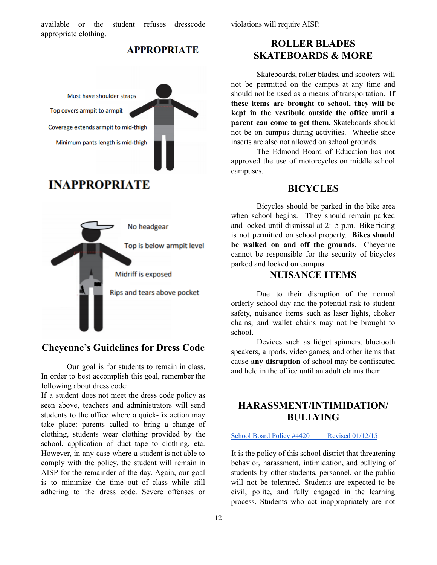available or the student refuses dresscode appropriate clothing.

violations will require AISP.

### **APPROPRIATE**



# **INAPPROPRIATE**



# **Cheyenne's Guidelines for Dress Code**

Our goal is for students to remain in class. In order to best accomplish this goal, remember the following about dress code:

If a student does not meet the dress code policy as seen above, teachers and administrators will send students to the office where a quick-fix action may take place: parents called to bring a change of clothing, students wear clothing provided by the school, application of duct tape to clothing, etc. However, in any case where a student is not able to comply with the policy, the student will remain in AISP for the remainder of the day. Again, our goal is to minimize the time out of class while still adhering to the dress code. Severe offenses or

# **ROLLER BLADES SKATEBOARDS & MORE**

Skateboards, roller blades, and scooters will not be permitted on the campus at any time and should not be used as a means of transportation. **If these items are brought to school, they will be kept in the vestibule outside the office until a parent can come to get them.** Skateboards should not be on campus during activities. Wheelie shoe inserts are also not allowed on school grounds.

The Edmond Board of Education has not approved the use of motorcycles on middle school campuses.

# **BICYCLES**

Bicycles should be parked in the bike area when school begins. They should remain parked and locked until dismissal at 2:15 p.m. Bike riding is not permitted on school property. **Bikes should be walked on and off the grounds.** Cheyenne cannot be responsible for the security of bicycles parked and locked on campus.

# **NUISANCE ITEMS**

Due to their disruption of the normal orderly school day and the potential risk to student safety, nuisance items such as laser lights, choker chains, and wallet chains may not be brought to school.

Devices such as fidget spinners, bluetooth speakers, airpods, video games, and other items that cause **any disruption** of school may be confiscated and held in the office until an adult claims them.

# **HARASSMENT/INTIMIDATION/ BULLYING**

#### School Board Policy #4420 Revised [01/12/15](https://docs.google.com/document/d/1yxDxzU9ymvIBLWVQsZElcPQKeFt8LiT_4bNxm0jsaB4/edit#)

It is the policy of this school district that threatening behavior, harassment, intimidation, and bullying of students by other students, personnel, or the public will not be tolerated. Students are expected to be civil, polite, and fully engaged in the learning process. Students who act inappropriately are not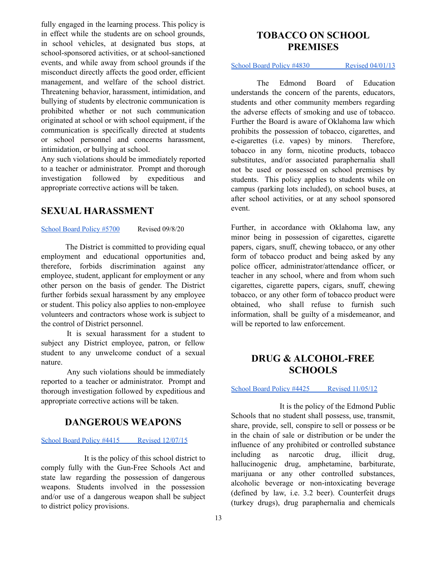fully engaged in the learning process. This policy is in effect while the students are on school grounds, in school vehicles, at designated bus stops, at school-sponsored activities, or at school-sanctioned events, and while away from school grounds if the misconduct directly affects the good order, efficient management, and welfare of the school district. Threatening behavior, harassment, intimidation, and bullying of students by electronic communication is prohibited whether or not such communication originated at school or with school equipment, if the communication is specifically directed at students or school personnel and concerns harassment, intimidation, or bullying at school.

Any such violations should be immediately reported to a teacher or administrator. Prompt and thorough investigation followed by expeditious and appropriate corrective actions will be taken.

# **SEXUAL HARASSMENT**

[School](https://edmondschools.net/wp-content/uploads/2021/03/Policy-5700-Sexual-Harassment-Adopted-09-08-20.pdf) Board Policy #5700 Revised 09/8/20

The District is committed to providing equal employment and educational opportunities and, therefore, forbids discrimination against any employee, student, applicant for employment or any other person on the basis of gender. The District further forbids sexual harassment by any employee or student. This policy also applies to non-employee volunteers and contractors whose work is subject to the control of District personnel.

It is sexual harassment for a student to subject any District employee, patron, or fellow student to any unwelcome conduct of a sexual nature.

Any such violations should be immediately reported to a teacher or administrator. Prompt and thorough investigation followed by expeditious and appropriate corrective actions will be taken.

# **DANGEROUS WEAPONS**

#### School Board Policy #4415 Revised [12/07/15](http://edmondschools.net/wp-content/uploads/2015/04/4415-Dangerous-Weapons.-Revised-12-07-151.pdf)

It is the policy of this school district to comply fully with the Gun-Free Schools Act and state law regarding the possession of dangerous weapons. Students involved in the possession and/or use of a dangerous weapon shall be subject to district policy provisions.

# **TOBACCO ON SCHOOL PREMISES**

#### School Board Policy #4830 Revised [04/01/13](http://edmondschools.net/wp-content/uploads/2015/04/4830-Tobacco-on-School-Premises-Revised-04-01-13.pdf)

The Edmond Board of Education understands the concern of the parents, educators, students and other community members regarding the adverse effects of smoking and use of tobacco. Further the Board is aware of Oklahoma law which prohibits the possession of tobacco, cigarettes, and e-cigarettes (i.e. vapes) by minors. Therefore, tobacco in any form, nicotine products, tobacco substitutes, and/or associated paraphernalia shall not be used or possessed on school premises by students. This policy applies to students while on campus (parking lots included), on school buses, at after school activities, or at any school sponsored event.

Further, in accordance with Oklahoma law, any minor being in possession of cigarettes, cigarette papers, cigars, snuff, chewing tobacco, or any other form of tobacco product and being asked by any police officer, administrator/attendance officer, or teacher in any school, where and from whom such cigarettes, cigarette papers, cigars, snuff, chewing tobacco, or any other form of tobacco product were obtained, who shall refuse to furnish such information, shall be guilty of a misdemeanor, and will be reported to law enforcement.

# **DRUG & ALCOHOL-FREE SCHOOLS**

#### School Board Policy #4425 Revised [11/05/12](http://edmondschools.net/wp-content/uploads/2015/04/4425-Drug-Alcohol-Free-Schools-Revised-11-5-12.pdf)

It is the policy of the Edmond Public Schools that no student shall possess, use, transmit, share, provide, sell, conspire to sell or possess or be in the chain of sale or distribution or be under the influence of any prohibited or controlled substance including as narcotic drug, illicit drug, hallucinogenic drug, amphetamine, barbiturate, marijuana or any other controlled substances, alcoholic beverage or non-intoxicating beverage (defined by law, i.e. 3.2 beer). Counterfeit drugs (turkey drugs), drug paraphernalia and chemicals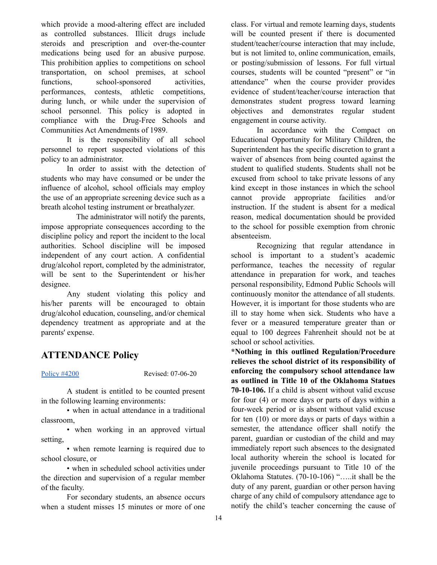which provide a mood-altering effect are included as controlled substances. Illicit drugs include steroids and prescription and over-the-counter medications being used for an abusive purpose. This prohibition applies to competitions on school transportation, on school premises, at school functions, school-sponsored activities, performances, contests, athletic competitions, during lunch, or while under the supervision of school personnel. This policy is adopted in compliance with the Drug-Free Schools and Communities Act Amendments of 1989.

It is the responsibility of all school personnel to report suspected violations of this policy to an administrator.

In order to assist with the detection of students who may have consumed or be under the influence of alcohol, school officials may employ the use of an appropriate screening device such as a breath alcohol testing instrument or breathalyzer.

The administrator will notify the parents, impose appropriate consequences according to the discipline policy and report the incident to the local authorities. School discipline will be imposed independent of any court action. A confidential drug/alcohol report, completed by the administrator, will be sent to the Superintendent or his/her designee.

Any student violating this policy and his/her parents will be encouraged to obtain drug/alcohol education, counseling, and/or chemical dependency treatment as appropriate and at the parents' expense.

### **ATTENDANCE Policy**

[Policy](https://edmondschools.net/wp-content/uploads/2020/07/Regulation-4205R-Attendance-Policy-Grades-PK-8-Revised-07-06-20.pdf) #4200 Revised: 07-06-20

A student is entitled to be counted present in the following learning environments:

• when in actual attendance in a traditional classroom,

• when working in an approved virtual setting,

• when remote learning is required due to school closure, or

• when in scheduled school activities under the direction and supervision of a regular member of the faculty.

For secondary students, an absence occurs when a student misses 15 minutes or more of one

class. For virtual and remote learning days, students will be counted present if there is documented student/teacher/course interaction that may include, but is not limited to, online communication, emails, or posting/submission of lessons. For full virtual courses, students will be counted "present" or "in attendance" when the course provider provides evidence of student/teacher/course interaction that demonstrates student progress toward learning objectives and demonstrates regular student engagement in course activity.

In accordance with the Compact on Educational Opportunity for Military Children, the Superintendent has the specific discretion to grant a waiver of absences from being counted against the student to qualified students. Students shall not be excused from school to take private lessons of any kind except in those instances in which the school cannot provide appropriate facilities and/or instruction. If the student is absent for a medical reason, medical documentation should be provided to the school for possible exemption from chronic absenteeism.

Recognizing that regular attendance in school is important to a student's academic performance, teaches the necessity of regular attendance in preparation for work, and teaches personal responsibility, Edmond Public Schools will continuously monitor the attendance of all students. However, it is important for those students who are ill to stay home when sick. Students who have a fever or a measured temperature greater than or equal to 100 degrees Fahrenheit should not be at school or school activities.

**\*Nothing in this outlined Regulation/Procedure relieves the school district of its responsibility of enforcing the compulsory school attendance law as outlined in Title 10 of the Oklahoma Statues 70-10-106.** If a child is absent without valid excuse for four (4) or more days or parts of days within a four-week period or is absent without valid excuse for ten (10) or more days or parts of days within a semester, the attendance officer shall notify the parent, guardian or custodian of the child and may immediately report such absences to the designated local authority wherein the school is located for juvenile proceedings pursuant to Title 10 of the Oklahoma Statutes. (70-10-106) "…..it shall be the duty of any parent, guardian or other person having charge of any child of compulsory attendance age to notify the child's teacher concerning the cause of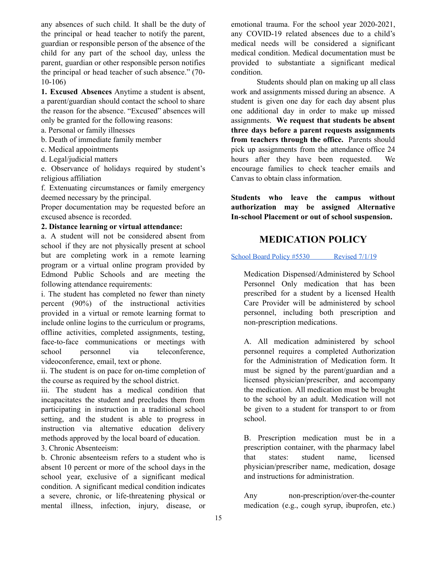any absences of such child. It shall be the duty of the principal or head teacher to notify the parent, guardian or responsible person of the absence of the child for any part of the school day, unless the parent, guardian or other responsible person notifies the principal or head teacher of such absence." (70- 10-106)

**1. Excused Absences** Anytime a student is absent, a parent/guardian should contact the school to share the reason for the absence. "Excused" absences will only be granted for the following reasons:

- a. Personal or family illnesses
- b. Death of immediate family member
- c. Medical appointments
- d. Legal/judicial matters

e. Observance of holidays required by student's religious affiliation

f. Extenuating circumstances or family emergency deemed necessary by the principal.

Proper documentation may be requested before an excused absence is recorded.

#### **2. Distance learning or virtual attendance:**

a. A student will not be considered absent from school if they are not physically present at school but are completing work in a remote learning program or a virtual online program provided by Edmond Public Schools and are meeting the following attendance requirements:

i. The student has completed no fewer than ninety percent (90%) of the instructional activities provided in a virtual or remote learning format to include online logins to the curriculum or programs, offline activities, completed assignments, testing, face-to-face communications or meetings with school personnel via teleconference, videoconference, email, text or phone.

ii. The student is on pace for on-time completion of the course as required by the school district.

iii. The student has a medical condition that incapacitates the student and precludes them from participating in instruction in a traditional school setting, and the student is able to progress in instruction via alternative education delivery methods approved by the local board of education.

3. Chronic Absenteeism:

b. Chronic absenteeism refers to a student who is absent 10 percent or more of the school days in the school year, exclusive of a significant medical condition. A significant medical condition indicates a severe, chronic, or life-threatening physical or mental illness, infection, injury, disease, or

emotional trauma. For the school year 2020-2021, any COVID-19 related absences due to a child's medical needs will be considered a significant medical condition. Medical documentation must be provided to substantiate a significant medical condition.

Students should plan on making up all class work and assignments missed during an absence. A student is given one day for each day absent plus one additional day in order to make up missed assignments. **We request that students be absent three days before a parent requests assignments from teachers through the office.** Parents should pick up assignments from the attendance office 24 hours after they have been requested. We encourage families to check teacher emails and Canvas to obtain class information.

**Students who leave the campus without authorization may be assigned Alternative In-school Placement or out of school suspension.**

# **MEDICATION POLICY**

#### School Board Policy #5530 [Revised](https://edmondschools.net/wp-content/uploads/2019/08/Policy-5530-Medication-Dispensing.revised-07-01-19.pdf) 7/1/19

Medication Dispensed/Administered by School Personnel Only medication that has been prescribed for a student by a licensed Health Care Provider will be administered by school personnel, including both prescription and non-prescription medications.

A. All medication administered by school personnel requires a completed Authorization for the Administration of Medication form. It must be signed by the parent/guardian and a licensed physician/prescriber, and accompany the medication. All medication must be brought to the school by an adult. Medication will not be given to a student for transport to or from school.

B. Prescription medication must be in a prescription container, with the pharmacy label that states: student name, licensed physician/prescriber name, medication, dosage and instructions for administration.

Any non-prescription/over-the-counter medication (e.g., cough syrup, ibuprofen, etc.)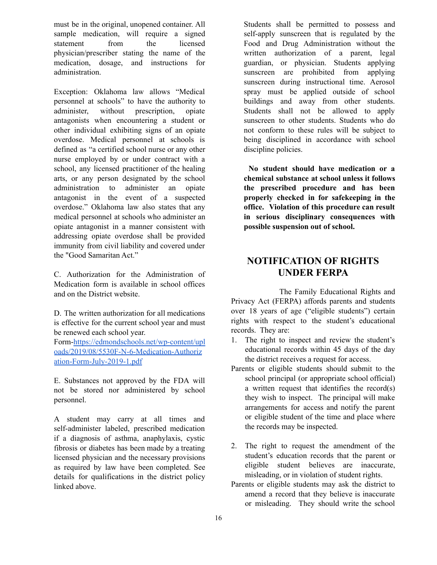must be in the original, unopened container. All sample medication, will require a signed statement from the licensed physician/prescriber stating the name of the medication, dosage, and instructions for administration.

Exception: Oklahoma law allows "Medical personnel at schools" to have the authority to administer, without prescription, opiate antagonists when encountering a student or other individual exhibiting signs of an opiate overdose. Medical personnel at schools is defined as "a certified school nurse or any other nurse employed by or under contract with a school, any licensed practitioner of the healing arts, or any person designated by the school administration to administer an opiate antagonist in the event of a suspected overdose." Oklahoma law also states that any medical personnel at schools who administer an opiate antagonist in a manner consistent with addressing opiate overdose shall be provided immunity from civil liability and covered under the "Good Samaritan Act."

C. Authorization for the Administration of Medication form is available in school offices and on the District website.

D. The written authorization for all medications is effective for the current school year and must be renewed each school year.

Form[-https://edmondschools.net/wp-content/upl](https://edmondschools.net/wp-content/uploads/2019/08/5530F-N-6-Medication-Authorization-Form-July-2019-1.pdf) [oads/2019/08/5530F-N-6-Medication-Authoriz](https://edmondschools.net/wp-content/uploads/2019/08/5530F-N-6-Medication-Authorization-Form-July-2019-1.pdf) [ation-Form-July-2019-1.pdf](https://edmondschools.net/wp-content/uploads/2019/08/5530F-N-6-Medication-Authorization-Form-July-2019-1.pdf)

E. Substances not approved by the FDA will not be stored nor administered by school personnel.

A student may carry at all times and self-administer labeled, prescribed medication if a diagnosis of asthma, anaphylaxis, cystic fibrosis or diabetes has been made by a treating licensed physician and the necessary provisions as required by law have been completed. See details for qualifications in the district policy linked above.

Students shall be permitted to possess and self-apply sunscreen that is regulated by the Food and Drug Administration without the written authorization of a parent, legal guardian, or physician. Students applying sunscreen are prohibited from applying sunscreen during instructional time. Aerosol spray must be applied outside of school buildings and away from other students. Students shall not be allowed to apply sunscreen to other students. Students who do not conform to these rules will be subject to being disciplined in accordance with school discipline policies.

**No student should have medication or a chemical substance at school unless it follows the prescribed procedure and has been properly checked in for safekeeping in the office. Violation of this procedure can result in serious disciplinary consequences with possible suspension out of school.**

# **NOTIFICATION OF RIGHTS UNDER FERPA**

The Family Educational Rights and Privacy Act (FERPA) affords parents and students over 18 years of age ("eligible students") certain rights with respect to the student's educational records. They are:

- 1. The right to inspect and review the student's educational records within 45 days of the day the district receives a request for access.
- Parents or eligible students should submit to the school principal (or appropriate school official) a written request that identifies the record(s) they wish to inspect. The principal will make arrangements for access and notify the parent or eligible student of the time and place where the records may be inspected.
- 2. The right to request the amendment of the student's education records that the parent or eligible student believes are inaccurate, misleading, or in violation of student rights.
- Parents or eligible students may ask the district to amend a record that they believe is inaccurate or misleading. They should write the school